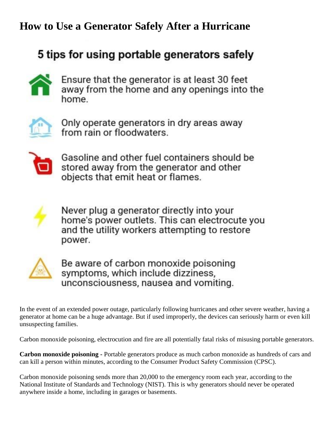## **How to Use a Generator Safely After a Hurricane**

## 5 tips for using portable generators safely



Ensure that the generator is at least 30 feet away from the home and any openings into the home.



Only operate generators in dry areas away from rain or floodwaters.



Gasoline and other fuel containers should be stored away from the generator and other objects that emit heat or flames.



Never plug a generator directly into your home's power outlets. This can electrocute you and the utility workers attempting to restore power.



Be aware of carbon monoxide poisoning symptoms, which include dizziness, unconsciousness, nausea and vomiting.

In the event of an extended power outage, particularly following hurricanes and other severe weather, having a generator at home can be a huge advantage. But if used improperly, the devices can seriously harm or even kill unsuspecting families.

Carbon monoxide poisoning, electrocution and fire are all potentially fatal risks of misusing portable generators.

**Carbon monoxide poisoning -** Portable generators produce as much carbon monoxide as hundreds of cars and can kill a person within minutes, according to the Consumer Product Safety Commission (CPSC).

Carbon monoxide poisoning sends more than 20,000 to the emergency room each year, according to the National Institute of Standards and Technology (NIST). This is why generators should never be operated anywhere inside a home, including in garages or basements.